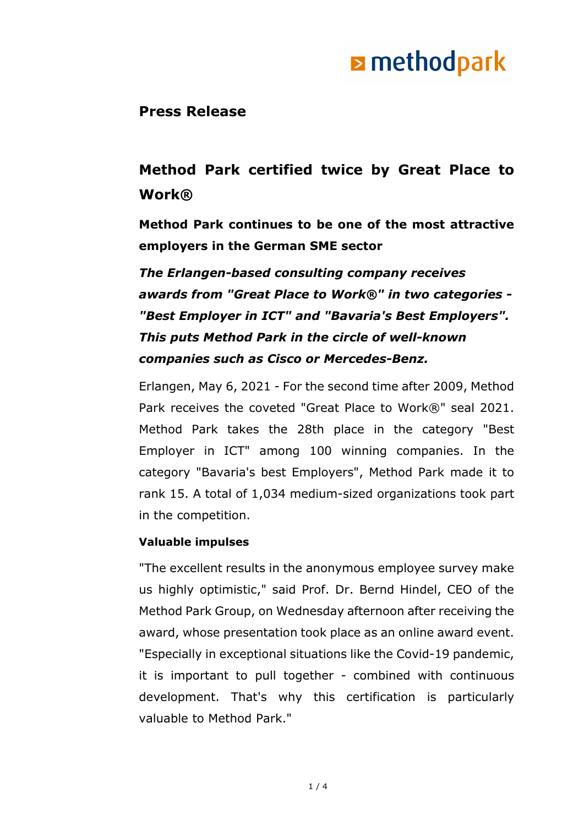### **Press Release**

### **Method Park certified twice by Great Place to Work®**

**Method Park continues to be one of the most attractive employers in the German SME sector**

*The Erlangen-based consulting company receives awards from "Great Place to Work®" in two categories - "Best Employer in ICT" and "Bavaria's Best Employers". This puts Method Park in the circle of well-known companies such as Cisco or Mercedes-Benz.*

Erlangen, May 6, 2021 - For the second time after 2009, Method Park receives the coveted "Great Place to Work®" seal 2021. Method Park takes the 28th place in the category "Best Employer in ICT" among 100 winning companies. In the category "Bavaria's best Employers", Method Park made it to rank 15. A total of 1,034 medium-sized organizations took part in the competition.

#### **Valuable impulses**

"The excellent results in the anonymous employee survey make us highly optimistic," said Prof. Dr. Bernd Hindel, CEO of the Method Park Group, on Wednesday afternoon after receiving the award, whose presentation took place as an online award event. "Especially in exceptional situations like the Covid-19 pandemic, it is important to pull together - combined with continuous development. That's why this certification is particularly valuable to Method Park."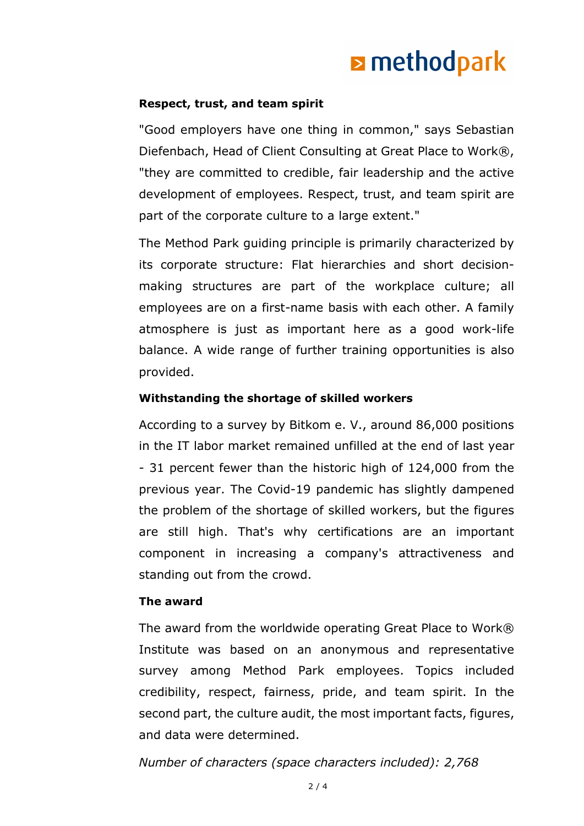#### **Respect, trust, and team spirit**

"Good employers have one thing in common," says Sebastian Diefenbach, Head of Client Consulting at Great Place to Work®, "they are committed to credible, fair leadership and the active development of employees. Respect, trust, and team spirit are part of the corporate culture to a large extent."

The Method Park guiding principle is primarily characterized by its corporate structure: Flat hierarchies and short decisionmaking structures are part of the workplace culture; all employees are on a first-name basis with each other. A family atmosphere is just as important here as a good work-life balance. A wide range of further training opportunities is also provided.

#### **Withstanding the shortage of skilled workers**

According to a survey by Bitkom e. V., around 86,000 positions in the IT labor market remained unfilled at the end of last year - 31 percent fewer than the historic high of 124,000 from the previous year. The Covid-19 pandemic has slightly dampened the problem of the shortage of skilled workers, but the figures are still high. That's why certifications are an important component in increasing a company's attractiveness and standing out from the crowd.

#### **The award**

The award from the worldwide operating Great Place to Work® Institute was based on an anonymous and representative survey among Method Park employees. Topics included credibility, respect, fairness, pride, and team spirit. In the second part, the culture audit, the most important facts, figures, and data were determined.

*Number of characters (space characters included): 2,768*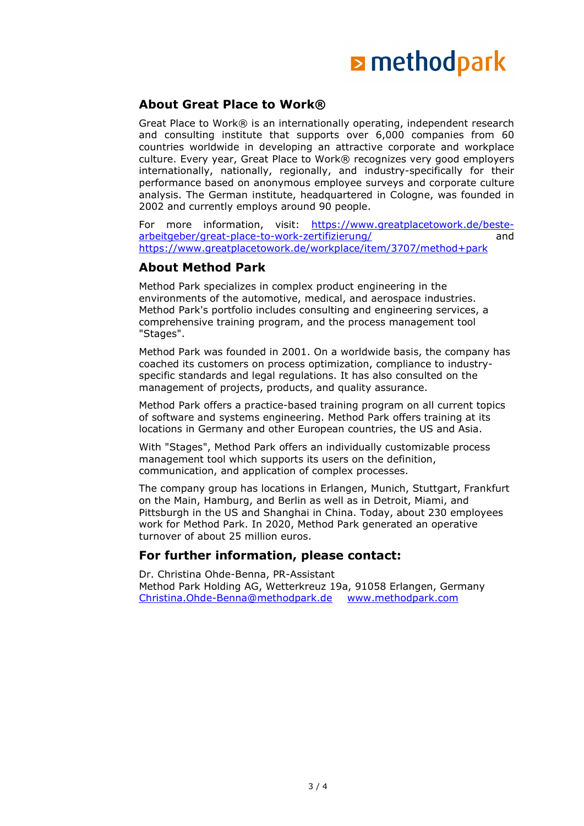#### **About Great Place to Work®**

Great Place to Work® is an internationally operating, independent research and consulting institute that supports over 6,000 companies from 60 countries worldwide in developing an attractive corporate and workplace culture. Every year, Great Place to Work® recognizes very good employers internationally, nationally, regionally, and industry-specifically for their performance based on anonymous employee surveys and corporate culture analysis. The German institute, headquartered in Cologne, was founded in 2002 and currently employs around 90 people.

For more information, visit: [https://www.greatplacetowork.de/beste](https://www.greatplacetowork.de/beste-arbeitgeber/great-place-to-work-zertifizierung/)[arbeitgeber/great-place-to-work-zertifizierung/](https://www.greatplacetowork.de/beste-arbeitgeber/great-place-to-work-zertifizierung/) <https://www.greatplacetowork.de/workplace/item/3707/method+park>

#### **About Method Park**

Method Park specializes in complex product engineering in the environments of the automotive, medical, and aerospace industries. Method Park's portfolio includes consulting and engineering services, a comprehensive training program, and the process management tool "Stages".

Method Park was founded in 2001. On a worldwide basis, the company has coached its customers on process optimization, compliance to industryspecific standards and legal regulations. It has also consulted on the management of projects, products, and quality assurance.

Method Park offers a practice-based training program on all current topics of software and systems engineering. Method Park offers training at its locations in Germany and other European countries, the US and Asia.

With "Stages", Method Park offers an individually customizable process management tool which supports its users on the definition, communication, and application of complex processes.

The company group has locations in Erlangen, Munich, Stuttgart, Frankfurt on the Main, Hamburg, and Berlin as well as in Detroit, Miami, and Pittsburgh in the US and Shanghai in China. Today, about 230 employees work for Method Park. In 2020, Method Park generated an operative turnover of about 25 million euros.

#### **For further information, please contact:**

Dr. Christina Ohde-Benna, PR-Assistant Method Park Holding AG, Wetterkreuz 19a, 91058 Erlangen, Germany [Christina.Ohde-Benna@methodpark.de](mailto:Christina.Ohde-Benna@methodpark.de) [www.methodpark.com](http://www.methodpark.com/)